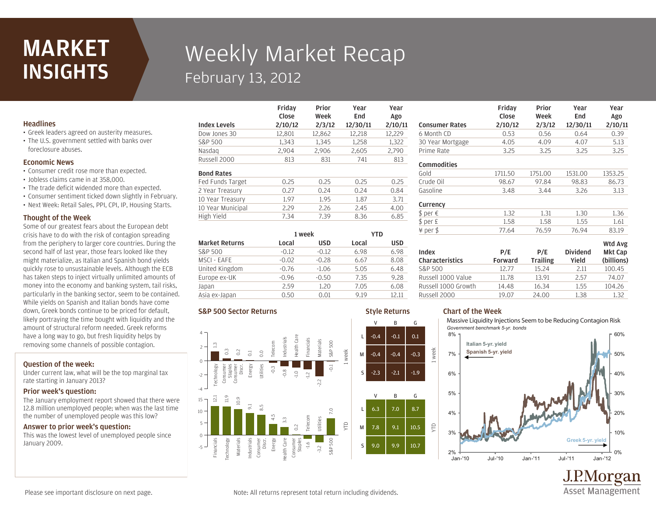## MARKET **INSIGHTS**

# Weekly Market Recap February 13, 2012

Friday

### **Headlines**

• Greek leaders agreed on austerity measures. • The U.S. government settled with banks over foreclosure abuses.

#### Economic News

- Consumer credit rose more than expected.
- Jobless claims came in at 358,000.
- The trade deficit widended more than expected.
- Consumer sentiment ticked down slightly in February.
- Next Week: Retail Sales, PPI, CPI, IP, Housing Starts.

#### Thought of the Week

Some of our greatest fears about the European debt crisis have to do with the risk of contagion spreading from the periphery to larger core countries. During the second half of last year, those fears looked like they might materialize, as Italian and Spanish bond yields quickly rose to unsustainable levels. Although the ECB has taken steps to inject virtually unlimited amounts of money into the economy and banking system, tail risks, particularly in the banking sector, seem to be contained. While yields on Spanish and Italian bonds have come down, Greek bonds continue to be priced for default, likely portraying the time bought with liquidity and the amount of structural reform needed. Greek reforms have a long way to go, but fresh liquidity helps by removing some channels of possible contagion.

#### Question of the week:

Under current law, what will be the top marginal tax rate starting in January 2013?

#### Prior week's question:

The January employment report showed that there were 12.8 million unemployed people; when was the last time the number of unemployed people was this low?

#### Answer to prior week's question:

This was the lowest level of unemployed people since January 2009.

|                     | 111 uu y<br>Close | .      | .        | .       |
|---------------------|-------------------|--------|----------|---------|
|                     |                   | Week   | End      | Ago     |
| <b>Index Levels</b> | 2/10/12           | 2/3/12 | 12/30/11 | 2/10/11 |
| Dow Jones 30        | 12.801            | 12.862 | 12,218   | 12,229  |
| S&P 500             | 1.343             | 1.345  | 1,258    | 1,322   |
| Nasdag              | 2.904             | 2.906  | 2,605    | 2,790   |
| Russell 2000        | 813               | 831    | 741      | 813     |
| <b>Bond Rates</b>   |                   |        |          |         |
| Fed Funds Target    | 0.25              | 0.25   | 0.25     | 0.25    |
| 2 Year Treasury     | 0.27              | 0.24   | 0.24     | 0.84    |
| 10 Year Treasury    | 1.97              | 1.95   | 1.87     | 3.71    |
| 10 Year Municipal   | 2.29              | 2.26   | 2.45     | 4.00    |
| High Yield          | 7.34              | 7.39   | 8.36     | 6.85    |
|                     |                   |        |          |         |

Prior

**Voor** 

Year

| <b>Market Returns</b> | 1 week  |            | YTD   |            |
|-----------------------|---------|------------|-------|------------|
|                       | Local   | <b>USD</b> | Local | <b>USD</b> |
| S&P 500               | $-0.12$ | $-0.12$    | 6.98  | 6.98       |
| MSCI - EAFE           | $-0.02$ | $-0.28$    | 6.67  | 8.08       |
| United Kingdom        | $-0.76$ | $-1.06$    | 5.05  | 6.48       |
| Europe ex-UK          | $-0.96$ | $-0.50$    | 7.35  | 9.28       |
| Japan                 | 2.59    | 1.20       | 7.05  | 6.08       |
| Asia ex-Japan         | 0.50    | 0.01       | 9.19  | 12.11      |

#### S&P 500 Sector Returns



|                          | Friday<br>Close | Prior<br>Week          | Year<br>End              | Year<br>Ago           |
|--------------------------|-----------------|------------------------|--------------------------|-----------------------|
| <b>Consumer Rates</b>    | 2/10/12         | 2/3/12                 | 12/30/11                 | 2/10/11               |
| 6 Month CD               | 0.53            | 0.56                   | 0.64                     | 0.39                  |
| 30 Year Mortgage         | 4.05            | 4.09                   | 4.07                     | 5.13                  |
| Prime Rate               | 3.25            | 3.25                   | 3.25                     | 3.25                  |
| Commodities              |                 |                        |                          |                       |
| Gold                     | 1711.50         | 1751.00                | 1531.00                  | 1353.25               |
| Crude Oil                | 98.67           | 97.84                  | 98.83                    | 86.73                 |
| Gasoline                 | 3.48            | 3.44                   | 3.26                     | 3.13                  |
| Currency                 |                 |                        |                          |                       |
| \$ per €                 | 1.32            | 1.31                   | 1.30                     | 1.36                  |
| \$ per £                 | 1.58            | 1.58                   | 1.55                     | 1.61                  |
| ¥ per \$                 | 77.64           | 76.59                  | 76.94                    | 83.19                 |
|                          |                 |                        |                          | Wtd Avg               |
| Index<br>Characteristics | P/E<br>Forward  | P/E<br><b>Trailing</b> | <b>Dividend</b><br>Yield | Mkt Cap<br>(billions) |
| S&P 500                  | 12.77           | 15.24                  | 2.11                     | 100.45                |
| Russell 1000 Value       | 11.78           | 13.91                  | 2.57                     | 74.07                 |

#### Style Returns Chart of the Week

week

YTD

Massive Liquidity Injections Seem to be Reducing Contagion Risk *Government benchmark 5-yr. bonds*

Russell 2000 19.07 24.00 1.38 1.32 Russell 1000 Growth 14.48 16.34 1.55 104.26



J.P.Morgan **Asset Management** 

Please see important disclosure on next page.